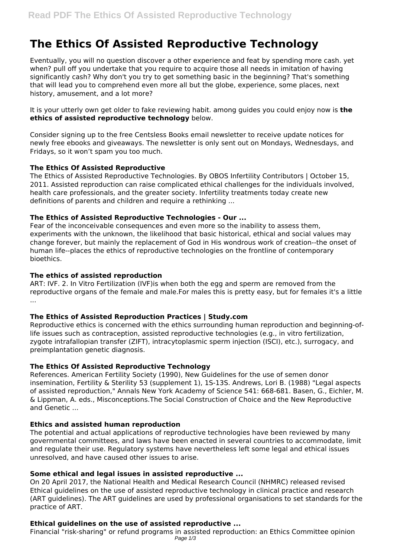# **The Ethics Of Assisted Reproductive Technology**

Eventually, you will no question discover a other experience and feat by spending more cash. yet when? pull off you undertake that you require to acquire those all needs in imitation of having significantly cash? Why don't you try to get something basic in the beginning? That's something that will lead you to comprehend even more all but the globe, experience, some places, next history, amusement, and a lot more?

It is your utterly own get older to fake reviewing habit. among guides you could enjoy now is **the ethics of assisted reproductive technology** below.

Consider signing up to the free Centsless Books email newsletter to receive update notices for newly free ebooks and giveaways. The newsletter is only sent out on Mondays, Wednesdays, and Fridays, so it won't spam you too much.

#### **The Ethics Of Assisted Reproductive**

The Ethics of Assisted Reproductive Technologies. By OBOS Infertility Contributors | October 15, 2011. Assisted reproduction can raise complicated ethical challenges for the individuals involved, health care professionals, and the greater society. Infertility treatments today create new definitions of parents and children and require a rethinking ...

#### **The Ethics of Assisted Reproductive Technologies - Our ...**

Fear of the inconceivable consequences and even more so the inability to assess them, experiments with the unknown, the likelihood that basic historical, ethical and social values may change forever, but mainly the replacement of God in His wondrous work of creation--the onset of human life--places the ethics of reproductive technologies on the frontline of contemporary bioethics.

#### **The ethics of assisted reproduction**

ART: IVF. 2. In Vitro Fertilization (IVF)is when both the egg and sperm are removed from the reproductive organs of the female and male.For males this is pretty easy, but for females it's a little ...

## **The Ethics of Assisted Reproduction Practices | Study.com**

Reproductive ethics is concerned with the ethics surrounding human reproduction and beginning-oflife issues such as contraception, assisted reproductive technologies (e.g., in vitro fertilization, zygote intrafallopian transfer (ZIFT), intracytoplasmic sperm injection (ISCI), etc.), surrogacy, and preimplantation genetic diagnosis.

## **The Ethics Of Assisted Reproductive Technology**

References. American Fertility Society (1990), New Guidelines for the use of semen donor insemination, Fertility & Sterility 53 (supplement 1), 1S-13S. Andrews, Lori B. (1988) "Legal aspects of assisted reproduction," Annals New York Academy of Science 541: 668-681. Basen, G., Eichler, M. & Lippman, A. eds., Misconceptions.The Social Construction of Choice and the New Reproductive and Genetic ...

## **Ethics and assisted human reproduction**

The potential and actual applications of reproductive technologies have been reviewed by many governmental committees, and laws have been enacted in several countries to accommodate, limit and regulate their use. Regulatory systems have nevertheless left some legal and ethical issues unresolved, and have caused other issues to arise.

## **Some ethical and legal issues in assisted reproductive ...**

On 20 April 2017, the National Health and Medical Research Council (NHMRC) released revised Ethical guidelines on the use of assisted reproductive technology in clinical practice and research (ART guidelines). The ART guidelines are used by professional organisations to set standards for the practice of ART.

## **Ethical guidelines on the use of assisted reproductive ...**

Financial "risk-sharing" or refund programs in assisted reproduction: an Ethics Committee opinion Page 1/3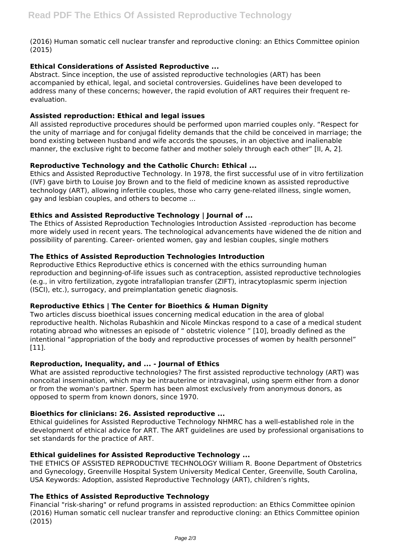(2016) Human somatic cell nuclear transfer and reproductive cloning: an Ethics Committee opinion (2015)

## **Ethical Considerations of Assisted Reproductive ...**

Abstract. Since inception, the use of assisted reproductive technologies (ART) has been accompanied by ethical, legal, and societal controversies. Guidelines have been developed to address many of these concerns; however, the rapid evolution of ART requires their frequent reevaluation.

## **Assisted reproduction: Ethical and legal issues**

All assisted reproductive procedures should be performed upon married couples only. "Respect for the unity of marriage and for conjugal fidelity demands that the child be conceived in marriage; the bond existing between husband and wife accords the spouses, in an objective and inalienable manner, the exclusive right to become father and mother solely through each other" [II, A, 2].

# **Reproductive Technology and the Catholic Church: Ethical ...**

Ethics and Assisted Reproductive Technology. In 1978, the first successful use of in vitro fertilization (IVF) gave birth to Louise Joy Brown and to the field of medicine known as assisted reproductive technology (ART), allowing infertile couples, those who carry gene-related illness, single women, gay and lesbian couples, and others to become ...

## **Ethics and Assisted Reproductive Technology | Journal of ...**

The Ethics of Assisted Reproduction Technologies Introduction Assisted -reproduction has become more widely used in recent years. The technological advancements have widened the de nition and possibility of parenting. Career- oriented women, gay and lesbian couples, single mothers

# **The Ethics of Assisted Reproduction Technologies Introduction**

Reproductive Ethics Reproductive ethics is concerned with the ethics surrounding human reproduction and beginning-of-life issues such as contraception, assisted reproductive technologies (e.g., in vitro fertilization, zygote intrafallopian transfer (ZIFT), intracytoplasmic sperm injection (ISCI), etc.), surrogacy, and preimplantation genetic diagnosis.

## **Reproductive Ethics | The Center for Bioethics & Human Dignity**

Two articles discuss bioethical issues concerning medical education in the area of global reproductive health. Nicholas Rubashkin and Nicole Minckas respond to a case of a medical student rotating abroad who witnesses an episode of " obstetric violence " [10], broadly defined as the intentional "appropriation of the body and reproductive processes of women by health personnel" [11].

## **Reproduction, Inequality, and ... - Journal of Ethics**

What are assisted reproductive technologies? The first assisted reproductive technology (ART) was noncoital insemination, which may be intrauterine or intravaginal, using sperm either from a donor or from the woman's partner. Sperm has been almost exclusively from anonymous donors, as opposed to sperm from known donors, since 1970.

## **Bioethics for clinicians: 26. Assisted reproductive ...**

Ethical guidelines for Assisted Reproductive Technology NHMRC has a well-established role in the development of ethical advice for ART. The ART guidelines are used by professional organisations to set standards for the practice of ART.

## **Ethical guidelines for Assisted Reproductive Technology ...**

THE ETHICS OF ASSISTED REPRODUCTIVE TECHNOLOGY William R. Boone Department of Obstetrics and Gynecology, Greenville Hospital System University Medical Center, Greenville, South Carolina, USA Keywords: Adoption, assisted Reproductive Technology (ART), children's rights,

## **The Ethics of Assisted Reproductive Technology**

Financial "risk-sharing" or refund programs in assisted reproduction: an Ethics Committee opinion (2016) Human somatic cell nuclear transfer and reproductive cloning: an Ethics Committee opinion (2015)